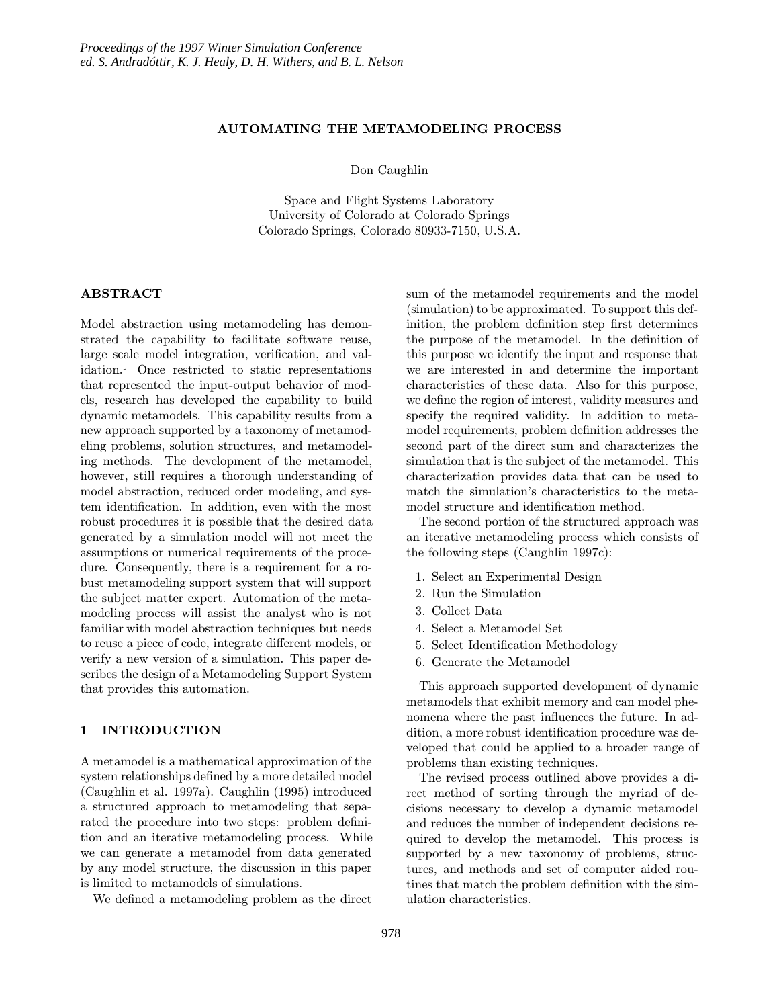# AUTOMATING THE METAMODELING PROCESS

Don Caughlin

Space and Flight Systems Laboratory University of Colorado at Colorado Springs Colorado Springs, Colorado 80933-7150, U.S.A.

# ABSTRACT

Model abstraction using metamodeling has demonstrated the capability to facilitate software reuse, large scale model integration, verification, and validation. Once restricted to static representations that represented the input-output behavior of models, research has developed the capability to build dynamic metamodels. This capability results from a new approach supported by a taxonomy of metamodeling problems, solution structures, and metamodeling methods. The development of the metamodel, however, still requires a thorough understanding of model abstraction, reduced order modeling, and system identification. In addition, even with the most robust procedures it is possible that the desired data generated by a simulation model will not meet the assumptions or numerical requirements of the procedure. Consequently, there is a requirement for a robust metamodeling support system that will support the subject matter expert. Automation of the metamodeling process will assist the analyst who is not familiar with model abstraction techniques but needs to reuse a piece of code, integrate different models, or verify a new version of a simulation. This paper describes the design of a Metamodeling Support System that provides this automation.

# 1 INTRODUCTION

A metamodel is a mathematical approximation of the system relationships defined by a more detailed model (Caughlin et al. 1997a). Caughlin (1995) introduced a structured approach to metamodeling that separated the procedure into two steps: problem definition and an iterative metamodeling process. While we can generate a metamodel from data generated by any model structure, the discussion in this paper is limited to metamodels of simulations.

We defined a metamodeling problem as the direct

sum of the metamodel requirements and the model (simulation) to be approximated. To support this definition, the problem definition step first determines the purpose of the metamodel. In the definition of this purpose we identify the input and response that we are interested in and determine the important characteristics of these data. Also for this purpose, we define the region of interest, validity measures and specify the required validity. In addition to metamodel requirements, problem definition addresses the second part of the direct sum and characterizes the simulation that is the subject of the metamodel. This characterization provides data that can be used to match the simulation's characteristics to the metamodel structure and identification method.

The second portion of the structured approach was an iterative metamodeling process which consists of the following steps (Caughlin 1997c):

- 1. Select an Experimental Design
- 2. Run the Simulation
- 3. Collect Data
- 4. Select a Metamodel Set
- 5. Select Identification Methodology
- 6. Generate the Metamodel

This approach supported development of dynamic metamodels that exhibit memory and can model phenomena where the past influences the future. In addition, a more robust identification procedure was developed that could be applied to a broader range of problems than existing techniques.

The revised process outlined above provides a direct method of sorting through the myriad of decisions necessary to develop a dynamic metamodel and reduces the number of independent decisions required to develop the metamodel. This process is supported by a new taxonomy of problems, structures, and methods and set of computer aided routines that match the problem definition with the simulation characteristics.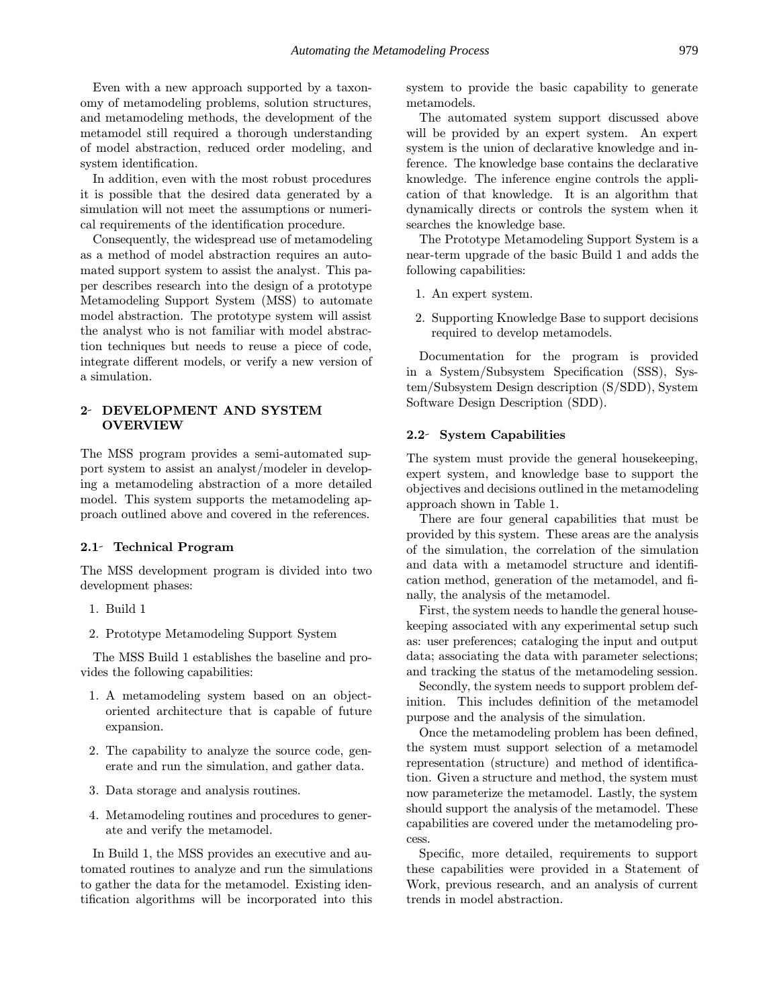Even with a new approach supported by a taxonomy of metamodeling problems, solution structures, and metamodeling methods, the development of the metamodel still required a thorough understanding of model abstraction, reduced order modeling, and system identification.

In addition, even with the most robust procedures it is possible that the desired data generated by a simulation will not meet the assumptions or numerical requirements of the identification procedure.

Consequently, the widespread use of metamodeling as a method of model abstraction requires an automated support system to assist the analyst. This paper describes research into the design of a prototype Metamodeling Support System (MSS) to automate model abstraction. The prototype system will assist the analyst who is not familiar with model abstraction techniques but needs to reuse a piece of code, integrate different models, or verify a new version of a simulation.

## 2 DEVELOPMENT AND SYSTEM OVERVIEW

The MSS program provides a semi-automated support system to assist an analyst/modeler in developing a metamodeling abstraction of a more detailed model. This system supports the metamodeling approach outlined above and covered in the references.

## 2.1- Technical Program

The MSS development program is divided into two development phases:

- 1. Build 1
- 2. Prototype Metamodeling Support System

The MSS Build 1 establishes the baseline and provides the following capabilities:

- 1. A metamodeling system based on an objectoriented architecture that is capable of future expansion.
- 2. The capability to analyze the source code, generate and run the simulation, and gather data.
- 3. Data storage and analysis routines.
- 4. Metamodeling routines and procedures to generate and verify the metamodel.

In Build 1, the MSS provides an executive and automated routines to analyze and run the simulations to gather the data for the metamodel. Existing identification algorithms will be incorporated into this system to provide the basic capability to generate metamodels.

The automated system support discussed above will be provided by an expert system. An expert system is the union of declarative knowledge and inference. The knowledge base contains the declarative knowledge. The inference engine controls the application of that knowledge. It is an algorithm that dynamically directs or controls the system when it searches the knowledge base.

The Prototype Metamodeling Support System is a near-term upgrade of the basic Build 1 and adds the following capabilities:

- 1. An expert system.
- 2. Supporting Knowledge Base to support decisions required to develop metamodels.

Documentation for the program is provided in a System/Subsystem Specification (SSS), System/Subsystem Design description (S/SDD), System Software Design Description (SDD).

#### 2.2 System Capabilities

The system must provide the general housekeeping, expert system, and knowledge base to support the objectives and decisions outlined in the metamodeling approach shown in Table 1.

There are four general capabilities that must be provided by this system. These areas are the analysis of the simulation, the correlation of the simulation and data with a metamodel structure and identification method, generation of the metamodel, and finally, the analysis of the metamodel.

First, the system needs to handle the general housekeeping associated with any experimental setup such as: user preferences; cataloging the input and output data; associating the data with parameter selections; and tracking the status of the metamodeling session.

Secondly, the system needs to support problem definition. This includes definition of the metamodel purpose and the analysis of the simulation.

Once the metamodeling problem has been defined, the system must support selection of a metamodel representation (structure) and method of identification. Given a structure and method, the system must now parameterize the metamodel. Lastly, the system should support the analysis of the metamodel. These capabilities are covered under the metamodeling process.

Specific, more detailed, requirements to support these capabilities were provided in a Statement of Work, previous research, and an analysis of current trends in model abstraction.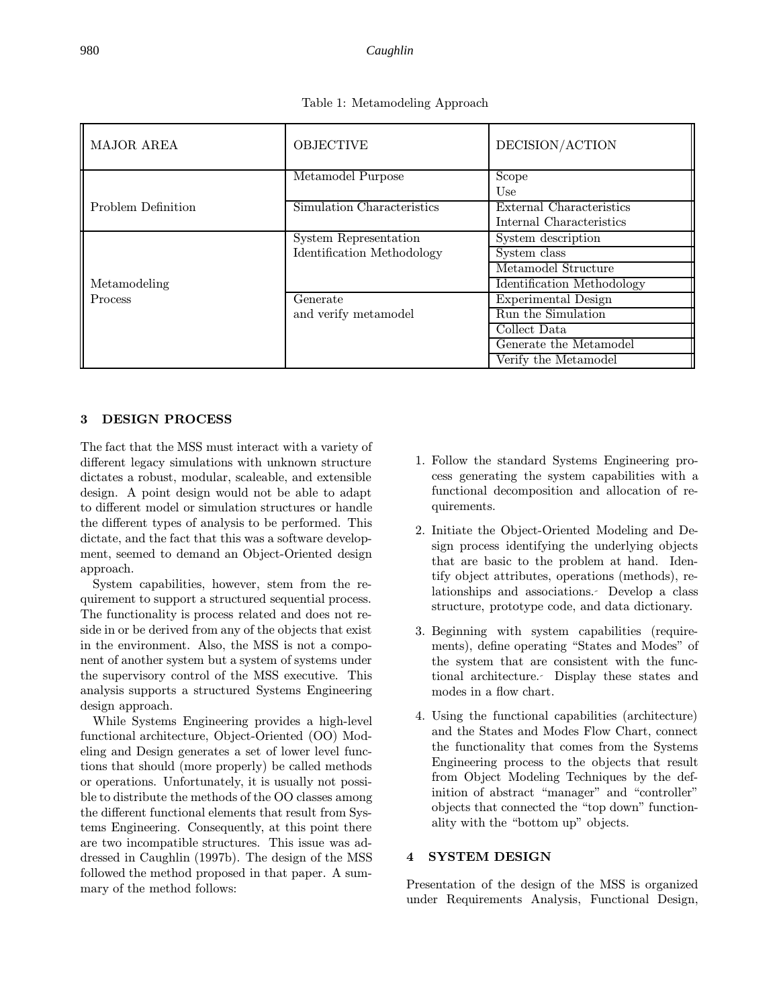| <b>MAJOR AREA</b>  | <b>OBJECTIVE</b>           | DECISION/ACTION            |
|--------------------|----------------------------|----------------------------|
|                    | Metamodel Purpose          | Scope                      |
|                    |                            | Use                        |
| Problem Definition | Simulation Characteristics | External Characteristics   |
|                    |                            | Internal Characteristics   |
|                    | System Representation      | System description         |
|                    | Identification Methodology | System class               |
|                    |                            | Metamodel Structure        |
| Metamodeling       |                            | Identification Methodology |
| <b>Process</b>     | Generate                   | Experimental Design        |
|                    | and verify metamodel       | Run the Simulation         |
|                    |                            | Collect Data               |
|                    |                            | Generate the Metamodel     |
|                    |                            | Verify the Metamodel       |

|  | Table 1: Metamodeling Approach |  |
|--|--------------------------------|--|
|--|--------------------------------|--|

# 3 DESIGN PROCESS

The fact that the MSS must interact with a variety of different legacy simulations with unknown structure dictates a robust, modular, scaleable, and extensible design. A point design would not be able to adapt to different model or simulation structures or handle the different types of analysis to be performed. This dictate, and the fact that this was a software development, seemed to demand an Object-Oriented design approach.

System capabilities, however, stem from the requirement to support a structured sequential process. The functionality is process related and does not reside in or be derived from any of the objects that exist in the environment. Also, the MSS is not a component of another system but a system of systems under the supervisory control of the MSS executive. This analysis supports a structured Systems Engineering design approach.

While Systems Engineering provides a high-level functional architecture, Object-Oriented (OO) Modeling and Design generates a set of lower level functions that should (more properly) be called methods or operations. Unfortunately, it is usually not possible to distribute the methods of the OO classes among the different functional elements that result from Systems Engineering. Consequently, at this point there are two incompatible structures. This issue was addressed in Caughlin (1997b). The design of the MSS followed the method proposed in that paper. A summary of the method follows:

- 1. Follow the standard Systems Engineering process generating the system capabilities with a functional decomposition and allocation of requirements.
- 2. Initiate the Object-Oriented Modeling and Design process identifying the underlying objects that are basic to the problem at hand. Identify object attributes, operations (methods), relationships and associations. Develop a class structure, prototype code, and data dictionary.
- 3. Beginning with system capabilities (requirements), define operating "States and Modes" of the system that are consistent with the functional architecture. Display these states and modes in a flow chart.
- 4. Using the functional capabilities (architecture) and the States and Modes Flow Chart, connect the functionality that comes from the Systems Engineering process to the objects that result from Object Modeling Techniques by the definition of abstract "manager" and "controller" objects that connected the "top down" functionality with the "bottom up" objects.

# 4 SYSTEM DESIGN

Presentation of the design of the MSS is organized under Requirements Analysis, Functional Design,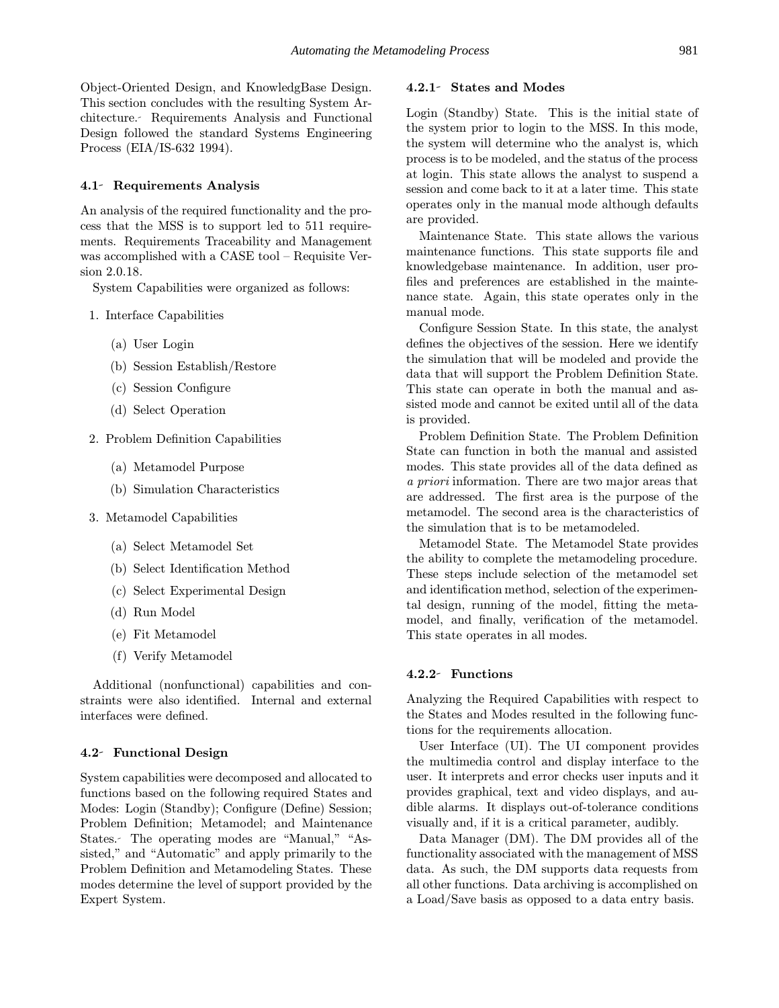Object-Oriented Design, and KnowledgBase Design. This section concludes with the resulting System Architecture. Requirements Analysis and Functional Design followed the standard Systems Engineering Process (EIA/IS-632 1994).

#### 4.1 Requirements Analysis

An analysis of the required functionality and the process that the MSS is to support led to 511 requirements. Requirements Traceability and Management was accomplished with a CASE tool – Requisite Version 2.0.18.

System Capabilities were organized as follows:

- 1. Interface Capabilities
	- (a) User Login
	- (b) Session Establish/Restore
	- (c) Session Configure
	- (d) Select Operation
- 2. Problem Definition Capabilities
	- (a) Metamodel Purpose
	- (b) Simulation Characteristics
- 3. Metamodel Capabilities
	- (a) Select Metamodel Set
	- (b) Select Identification Method
	- (c) Select Experimental Design
	- (d) Run Model
	- (e) Fit Metamodel
	- (f) Verify Metamodel

Additional (nonfunctional) capabilities and constraints were also identified. Internal and external interfaces were defined.

## 4.2 Functional Design

System capabilities were decomposed and allocated to functions based on the following required States and Modes: Login (Standby); Configure (Define) Session; Problem Definition; Metamodel; and Maintenance States. The operating modes are "Manual," "Assisted," and "Automatic" and apply primarily to the Problem Definition and Metamodeling States. These modes determine the level of support provided by the Expert System.

#### 4.2.1 States and Modes

Login (Standby) State. This is the initial state of the system prior to login to the MSS. In this mode, the system will determine who the analyst is, which process is to be modeled, and the status of the process at login. This state allows the analyst to suspend a session and come back to it at a later time. This state operates only in the manual mode although defaults are provided.

Maintenance State. This state allows the various maintenance functions. This state supports file and knowledgebase maintenance. In addition, user profiles and preferences are established in the maintenance state. Again, this state operates only in the manual mode.

Configure Session State. In this state, the analyst defines the objectives of the session. Here we identify the simulation that will be modeled and provide the data that will support the Problem Definition State. This state can operate in both the manual and assisted mode and cannot be exited until all of the data is provided.

Problem Definition State. The Problem Definition State can function in both the manual and assisted modes. This state provides all of the data defined as a priori information. There are two major areas that are addressed. The first area is the purpose of the metamodel. The second area is the characteristics of the simulation that is to be metamodeled.

Metamodel State. The Metamodel State provides the ability to complete the metamodeling procedure. These steps include selection of the metamodel set and identification method, selection of the experimental design, running of the model, fitting the metamodel, and finally, verification of the metamodel. This state operates in all modes.

#### 4.2.2 Functions

Analyzing the Required Capabilities with respect to the States and Modes resulted in the following functions for the requirements allocation.

User Interface (UI). The UI component provides the multimedia control and display interface to the user. It interprets and error checks user inputs and it provides graphical, text and video displays, and audible alarms. It displays out-of-tolerance conditions visually and, if it is a critical parameter, audibly.

Data Manager (DM). The DM provides all of the functionality associated with the management of MSS data. As such, the DM supports data requests from all other functions. Data archiving is accomplished on a Load/Save basis as opposed to a data entry basis.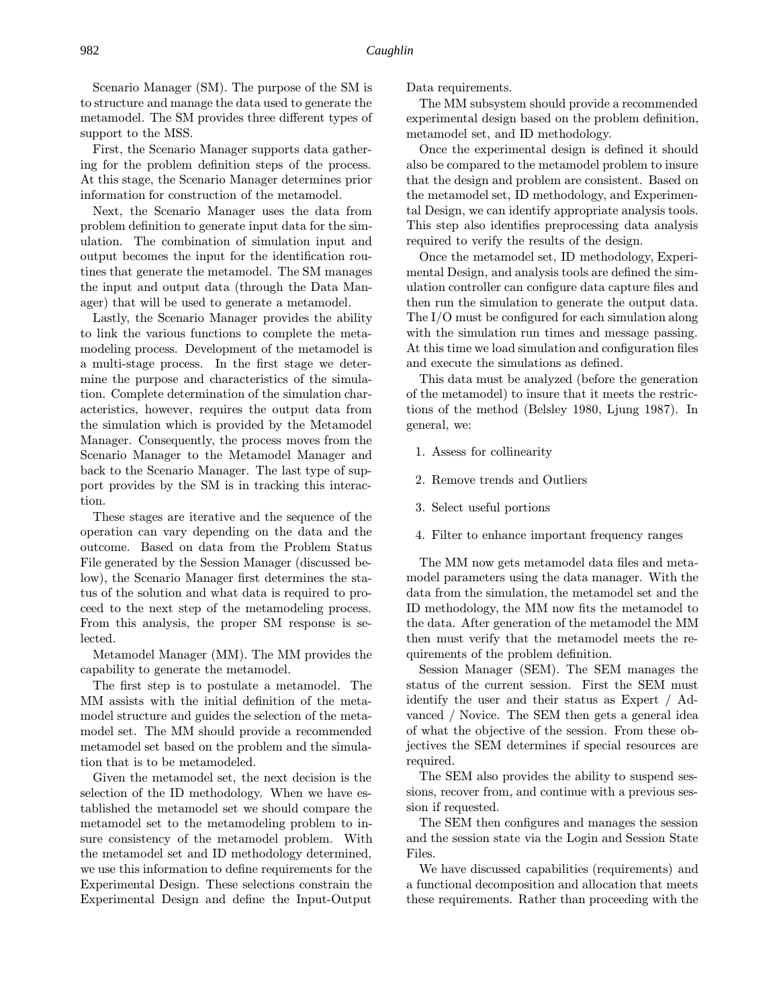## 982 *Caughlin*

Scenario Manager (SM). The purpose of the SM is to structure and manage the data used to generate the metamodel. The SM provides three different types of support to the MSS.

First, the Scenario Manager supports data gathering for the problem definition steps of the process. At this stage, the Scenario Manager determines prior information for construction of the metamodel.

Next, the Scenario Manager uses the data from problem definition to generate input data for the simulation. The combination of simulation input and output becomes the input for the identification routines that generate the metamodel. The SM manages the input and output data (through the Data Manager) that will be used to generate a metamodel.

Lastly, the Scenario Manager provides the ability to link the various functions to complete the metamodeling process. Development of the metamodel is a multi-stage process. In the first stage we determine the purpose and characteristics of the simulation. Complete determination of the simulation characteristics, however, requires the output data from the simulation which is provided by the Metamodel Manager. Consequently, the process moves from the Scenario Manager to the Metamodel Manager and back to the Scenario Manager. The last type of support provides by the SM is in tracking this interaction.

These stages are iterative and the sequence of the operation can vary depending on the data and the outcome. Based on data from the Problem Status File generated by the Session Manager (discussed below), the Scenario Manager first determines the status of the solution and what data is required to proceed to the next step of the metamodeling process. From this analysis, the proper SM response is selected.

Metamodel Manager (MM). The MM provides the capability to generate the metamodel.

The first step is to postulate a metamodel. The MM assists with the initial definition of the metamodel structure and guides the selection of the metamodel set. The MM should provide a recommended metamodel set based on the problem and the simulation that is to be metamodeled.

Given the metamodel set, the next decision is the selection of the ID methodology. When we have established the metamodel set we should compare the metamodel set to the metamodeling problem to insure consistency of the metamodel problem. With the metamodel set and ID methodology determined, we use this information to define requirements for the Experimental Design. These selections constrain the Experimental Design and define the Input-Output Data requirements.

The MM subsystem should provide a recommended experimental design based on the problem definition, metamodel set, and ID methodology.

Once the experimental design is defined it should also be compared to the metamodel problem to insure that the design and problem are consistent. Based on the metamodel set, ID methodology, and Experimental Design, we can identify appropriate analysis tools. This step also identifies preprocessing data analysis required to verify the results of the design.

Once the metamodel set, ID methodology, Experimental Design, and analysis tools are defined the simulation controller can configure data capture files and then run the simulation to generate the output data. The I/O must be configured for each simulation along with the simulation run times and message passing. At this time we load simulation and configuration files and execute the simulations as defined.

This data must be analyzed (before the generation of the metamodel) to insure that it meets the restrictions of the method (Belsley 1980, Ljung 1987). In general, we:

- 1. Assess for collinearity
- 2. Remove trends and Outliers
- 3. Select useful portions
- 4. Filter to enhance important frequency ranges

The MM now gets metamodel data files and metamodel parameters using the data manager. With the data from the simulation, the metamodel set and the ID methodology, the MM now fits the metamodel to the data. After generation of the metamodel the MM then must verify that the metamodel meets the requirements of the problem definition.

Session Manager (SEM). The SEM manages the status of the current session. First the SEM must identify the user and their status as Expert / Advanced / Novice. The SEM then gets a general idea of what the objective of the session. From these objectives the SEM determines if special resources are required.

The SEM also provides the ability to suspend sessions, recover from, and continue with a previous session if requested.

The SEM then configures and manages the session and the session state via the Login and Session State Files.

We have discussed capabilities (requirements) and a functional decomposition and allocation that meets these requirements. Rather than proceeding with the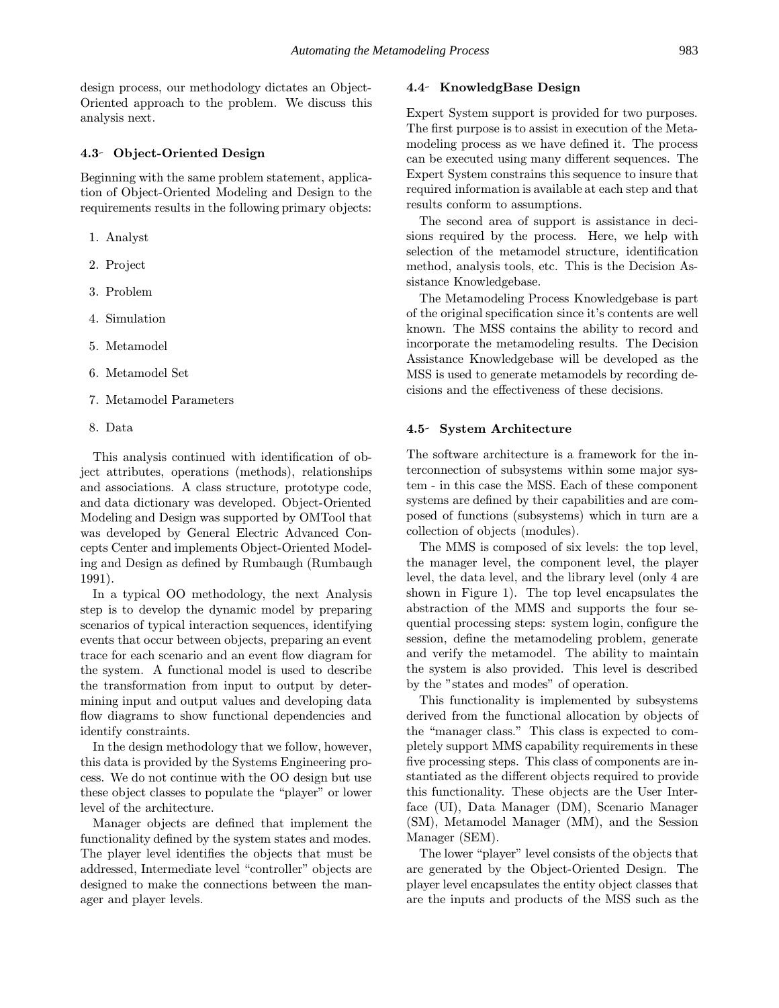design process, our methodology dictates an Object-Oriented approach to the problem. We discuss this analysis next.

### 4.3 Object-Oriented Design

Beginning with the same problem statement, application of Object-Oriented Modeling and Design to the requirements results in the following primary objects:

- 1. Analyst
- 2. Project
- 3. Problem
- 4. Simulation
- 5. Metamodel
- 6. Metamodel Set
- 7. Metamodel Parameters
- 8. Data

This analysis continued with identification of object attributes, operations (methods), relationships and associations. A class structure, prototype code, and data dictionary was developed. Object-Oriented Modeling and Design was supported by OMTool that was developed by General Electric Advanced Concepts Center and implements Object-Oriented Modeling and Design as defined by Rumbaugh (Rumbaugh 1991).

In a typical OO methodology, the next Analysis step is to develop the dynamic model by preparing scenarios of typical interaction sequences, identifying events that occur between objects, preparing an event trace for each scenario and an event flow diagram for the system. A functional model is used to describe the transformation from input to output by determining input and output values and developing data flow diagrams to show functional dependencies and identify constraints.

In the design methodology that we follow, however, this data is provided by the Systems Engineering process. We do not continue with the OO design but use these object classes to populate the "player" or lower level of the architecture.

Manager objects are defined that implement the functionality defined by the system states and modes. The player level identifies the objects that must be addressed, Intermediate level "controller" objects are designed to make the connections between the manager and player levels.

## 4.4 KnowledgBase Design

Expert System support is provided for two purposes. The first purpose is to assist in execution of the Metamodeling process as we have defined it. The process can be executed using many different sequences. The Expert System constrains this sequence to insure that required information is available at each step and that results conform to assumptions.

The second area of support is assistance in decisions required by the process. Here, we help with selection of the metamodel structure, identification method, analysis tools, etc. This is the Decision Assistance Knowledgebase.

The Metamodeling Process Knowledgebase is part of the original specification since it's contents are well known. The MSS contains the ability to record and incorporate the metamodeling results. The Decision Assistance Knowledgebase will be developed as the MSS is used to generate metamodels by recording decisions and the effectiveness of these decisions.

### 4.5 System Architecture

The software architecture is a framework for the interconnection of subsystems within some major system - in this case the MSS. Each of these component systems are defined by their capabilities and are composed of functions (subsystems) which in turn are a collection of objects (modules).

The MMS is composed of six levels: the top level, the manager level, the component level, the player level, the data level, and the library level (only 4 are shown in Figure 1). The top level encapsulates the abstraction of the MMS and supports the four sequential processing steps: system login, configure the session, define the metamodeling problem, generate and verify the metamodel. The ability to maintain the system is also provided. This level is described by the "states and modes" of operation.

This functionality is implemented by subsystems derived from the functional allocation by objects of the "manager class." This class is expected to completely support MMS capability requirements in these five processing steps. This class of components are instantiated as the different objects required to provide this functionality. These objects are the User Interface (UI), Data Manager (DM), Scenario Manager (SM), Metamodel Manager (MM), and the Session Manager (SEM).

The lower "player" level consists of the objects that are generated by the Object-Oriented Design. The player level encapsulates the entity object classes that are the inputs and products of the MSS such as the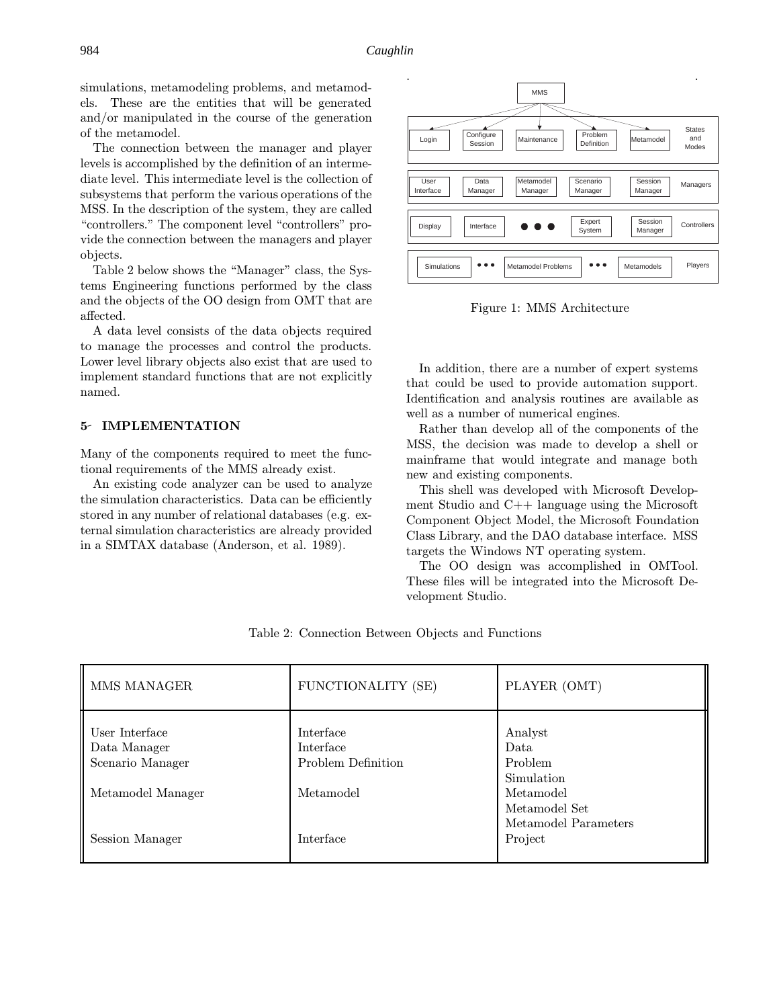simulations, metamodeling problems, and metamodels. These are the entities that will be generated and/or manipulated in the course of the generation of the metamodel.

The connection between the manager and player levels is accomplished by the definition of an intermediate level. This intermediate level is the collection of subsystems that perform the various operations of the MSS. In the description of the system, they are called "controllers." The component level "controllers" provide the connection between the managers and player objects.

Table 2 below shows the "Manager" class, the Systems Engineering functions performed by the class and the objects of the OO design from OMT that are affected.

A data level consists of the data objects required to manage the processes and control the products. Lower level library objects also exist that are used to implement standard functions that are not explicitly named.

#### 5- IMPLEMENTATION

Many of the components required to meet the functional requirements of the MMS already exist.

An existing code analyzer can be used to analyze the simulation characteristics. Data can be efficiently stored in any number of relational databases (e.g. external simulation characteristics are already provided in a SIMTAX database (Anderson, et al. 1989).



Figure 1: MMS Architecture

In addition, there are a number of expert systems that could be used to provide automation support. Identification and analysis routines are available as well as a number of numerical engines.

Rather than develop all of the components of the MSS, the decision was made to develop a shell or mainframe that would integrate and manage both new and existing components.

This shell was developed with Microsoft Development Studio and C++ language using the Microsoft Component Object Model, the Microsoft Foundation Class Library, and the DAO database interface. MSS targets the Windows NT operating system.

The OO design was accomplished in OMTool. These files will be integrated into the Microsoft Development Studio.

| MMS MANAGER                                        | <b>FUNCTIONALITY (SE)</b>                    | PLAYER (OMT)                                       |
|----------------------------------------------------|----------------------------------------------|----------------------------------------------------|
| User Interface<br>Data Manager<br>Scenario Manager | Interface<br>Interface<br>Problem Definition | Analyst<br>Data.<br>Problem<br>Simulation          |
| Metamodel Manager                                  | Metamodel                                    | Metamodel<br>Metamodel Set<br>Metamodel Parameters |
| Session Manager                                    | Interface                                    | Project                                            |

Table 2: Connection Between Objects and Functions